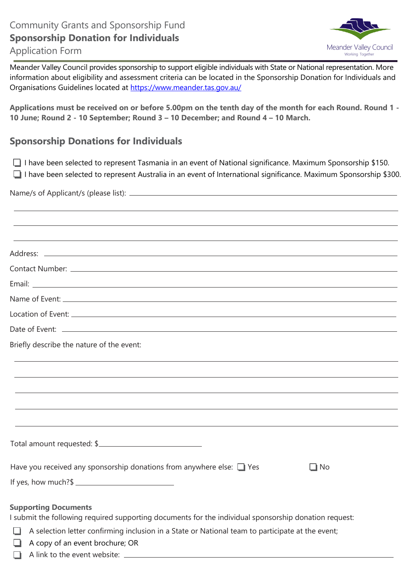

Meander Valley Council provides sponsorship to support eligible individuals with State or National representation. More information about eligibility and assessment criteria can be located in the Sponsorship Donation for Individuals and Organisations Guidelines located at [https://www.meander.tas.gov.au/](https://www.meander.tas.gov.au/grants-funding)

**Applications must be received on or before 5.00pm on the tenth day of the month for each Round. Round 1 - 10 June; Round 2 - 10 September; Round 3 – 10 December; and Round 4 – 10 March.** 

# **Sponsorship Donations for Individuals**

 $\Box$  I have been selected to represent Tasmania in an event of National significance. Maximum Sponsorship \$150. I have been selected to represent Australia in an event of International significance. Maximum Sponsorship \$300.

# Name/s of Applicant/s (please list):

| Briefly describe the nature of the event:                                                                                            |
|--------------------------------------------------------------------------------------------------------------------------------------|
|                                                                                                                                      |
|                                                                                                                                      |
|                                                                                                                                      |
|                                                                                                                                      |
| Total amount requested: \$                                                                                                           |
| Have you received any sponsorship donations from anywhere else: $\Box$ Yes<br>∐l No                                                  |
|                                                                                                                                      |
| <b>Supporting Documents</b><br>I submit the following required supporting documents for the individual sponsorship donation request: |
| A selection letter confirming inclusion in a State or National team to participate at the event;<br>ப                                |
| A copy of an event brochure; OR<br>⊔                                                                                                 |
| $\perp$                                                                                                                              |